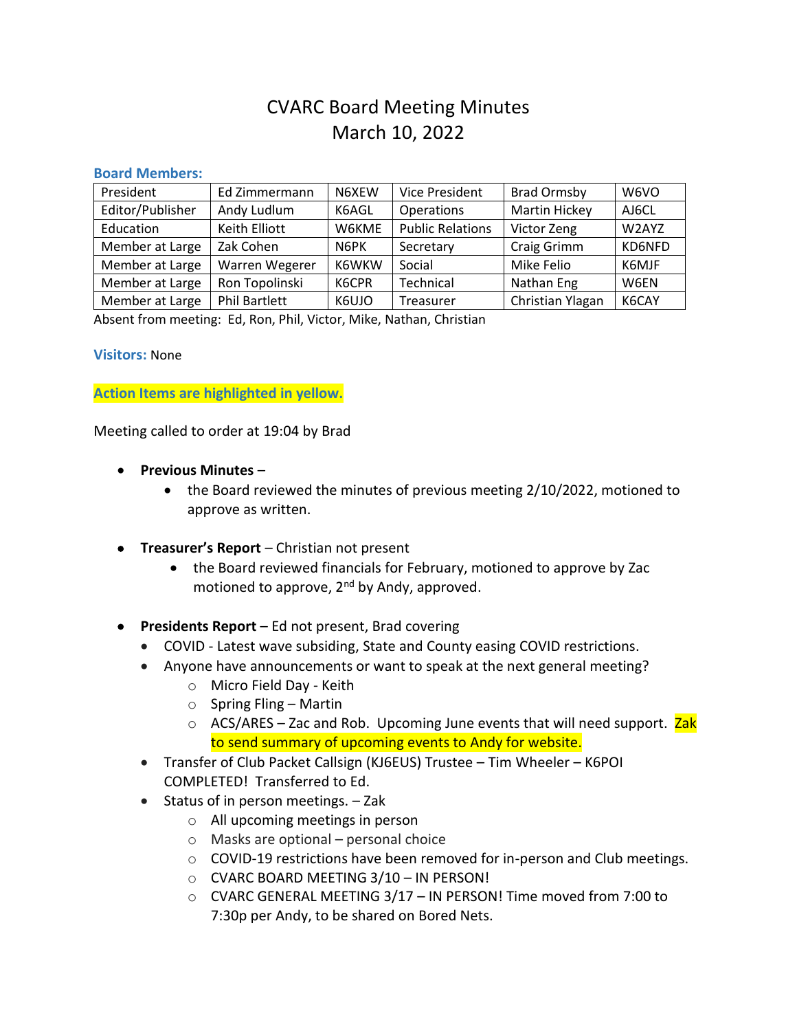# CVARC Board Meeting Minutes March 10, 2022

#### **Board Members:**

| President        | Ed Zimmermann        | N6XEW | <b>Vice President</b>   | <b>Brad Ormsby</b>   | W6VO   |
|------------------|----------------------|-------|-------------------------|----------------------|--------|
| Editor/Publisher | Andy Ludlum          | K6AGL | Operations              | <b>Martin Hickey</b> | AJ6CL  |
| Education        | Keith Elliott        | W6KME | <b>Public Relations</b> | Victor Zeng          | W2AYZ  |
| Member at Large  | Zak Cohen            | N6PK  | Secretary               | Craig Grimm          | KD6NFD |
| Member at Large  | Warren Wegerer       | K6WKW | Social                  | Mike Felio           | K6MJF  |
| Member at Large  | Ron Topolinski       | K6CPR | Technical               | Nathan Eng           | W6EN   |
| Member at Large  | <b>Phil Bartlett</b> | K6UJO | Treasurer               | Christian Ylagan     | K6CAY  |

Absent from meeting: Ed, Ron, Phil, Victor, Mike, Nathan, Christian

### **Visitors:** None

**Action Items are highlighted in yellow.**

Meeting called to order at 19:04 by Brad

- **Previous Minutes**
	- the Board reviewed the minutes of previous meeting 2/10/2022, motioned to approve as written.
- **Treasurer's Report** Christian not present
	- the Board reviewed financials for February, motioned to approve by Zac motioned to approve, 2<sup>nd</sup> by Andy, approved.
- **Presidents Report** Ed not present, Brad covering
	- COVID Latest wave subsiding, State and County easing COVID restrictions.
	- Anyone have announcements or want to speak at the next general meeting?
		- o Micro Field Day Keith
		- $\circ$  Spring Fling Martin
		- ACS/ARES Zac and Rob. Upcoming June events that will need support. Zak to send summary of upcoming events to Andy for website.
	- Transfer of Club Packet Callsign (KJ6EUS) Trustee Tim Wheeler K6POI COMPLETED! Transferred to Ed.
	- Status of in person meetings. Zak
		- o All upcoming meetings in person
		- o Masks are optional personal choice
		- o COVID-19 restrictions have been removed for in-person and Club meetings.
		- o CVARC BOARD MEETING 3/10 IN PERSON!
		- o CVARC GENERAL MEETING 3/17 IN PERSON! Time moved from 7:00 to 7:30p per Andy, to be shared on Bored Nets.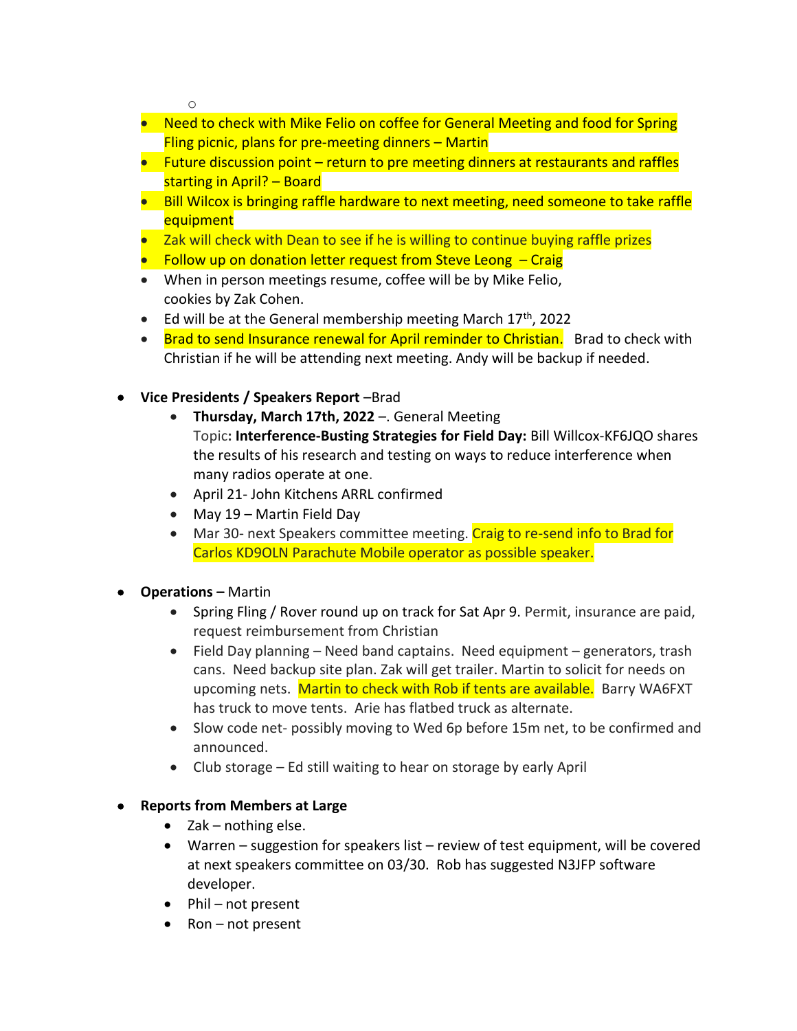o

- Need to check with Mike Felio on coffee for General Meeting and food for Spring Fling picnic, plans for pre-meeting dinners – Martin
- Future discussion point return to pre meeting dinners at restaurants and raffles starting in April? – Board
- Bill Wilcox is bringing raffle hardware to next meeting, need someone to take raffle equipment
- Zak will check with Dean to see if he is willing to continue buying raffle prizes
- Follow up on donation letter request from Steve Leong Craig
- When in person meetings resume, coffee will be by Mike Felio, cookies by Zak Cohen.
- Ed will be at the General membership meeting March  $17<sup>th</sup>$ , 2022
- Brad to send Insurance renewal for April reminder to Christian. Brad to check with Christian if he will be attending next meeting. Andy will be backup if needed.
- **Vice Presidents / Speakers Report** –Brad
	- **Thursday, March 17th, 2022** –. General Meeting Topic**: Interference-Busting Strategies for Field Day:** Bill Willcox-KF6JQO shares the results of his research and testing on ways to reduce interference when many radios operate at one.
	- April 21- John Kitchens ARRL confirmed
	- May 19 Martin Field Day
	- Mar 30- next Speakers committee meeting. Craig to re-send info to Brad for Carlos KD9OLN Parachute Mobile operator as possible speaker.
- **Operations –** Martin
	- Spring Fling / Rover round up on track for Sat Apr 9. Permit, insurance are paid, request reimbursement from Christian
	- Field Day planning Need band captains. Need equipment generators, trash cans. Need backup site plan. Zak will get trailer. Martin to solicit for needs on upcoming nets. Martin to check with Rob if tents are available. Barry WA6FXT has truck to move tents. Arie has flatbed truck as alternate.
	- Slow code net- possibly moving to Wed 6p before 15m net, to be confirmed and announced.
	- Club storage Ed still waiting to hear on storage by early April

# • **Reports from Members at Large**

- Zak nothing else.
- Warren suggestion for speakers list review of test equipment, will be covered at next speakers committee on 03/30. Rob has suggested N3JFP software developer.
- Phil not present
- Ron not present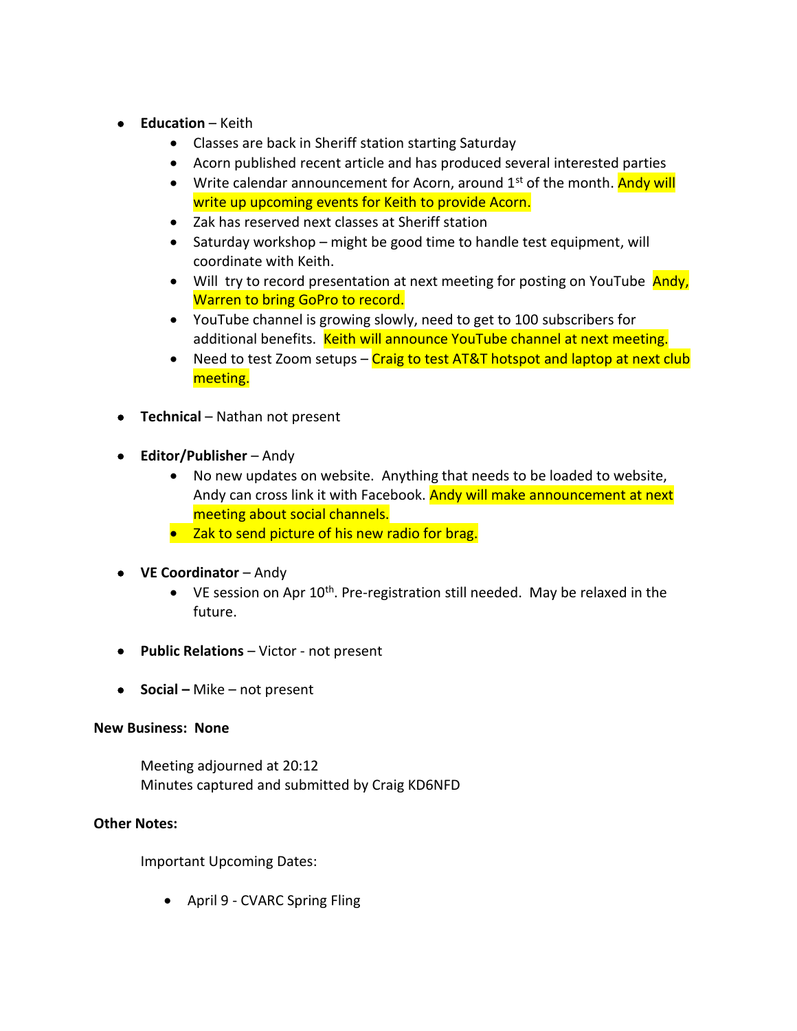- **Education** Keith
	- Classes are back in Sheriff station starting Saturday
	- Acorn published recent article and has produced several interested parties
	- Write calendar announcement for Acorn, around  $1<sup>st</sup>$  of the month. Andy will write up upcoming events for Keith to provide Acorn.
	- Zak has reserved next classes at Sheriff station
	- Saturday workshop might be good time to handle test equipment, will coordinate with Keith.
	- Will try to record presentation at next meeting for posting on YouTube Andy, Warren to bring GoPro to record.
	- YouTube channel is growing slowly, need to get to 100 subscribers for additional benefits. Keith will announce YouTube channel at next meeting.
	- Need to test Zoom setups Craig to test AT&T hotspot and laptop at next club meeting.
- **Technical** Nathan not present
- **Editor/Publisher** Andy
	- No new updates on website. Anything that needs to be loaded to website, Andy can cross link it with Facebook. Andy will make announcement at next meeting about social channels.
	- Zak to send picture of his new radio for brag.
- **VE Coordinator** Andy
	- VE session on Apr  $10^{th}$ . Pre-registration still needed. May be relaxed in the future.
- **Public Relations** Victor not present
- **Social –** Mike not present

## **New Business: None**

Meeting adjourned at 20:12 Minutes captured and submitted by Craig KD6NFD

## **Other Notes:**

Important Upcoming Dates:

• April 9 - CVARC Spring Fling